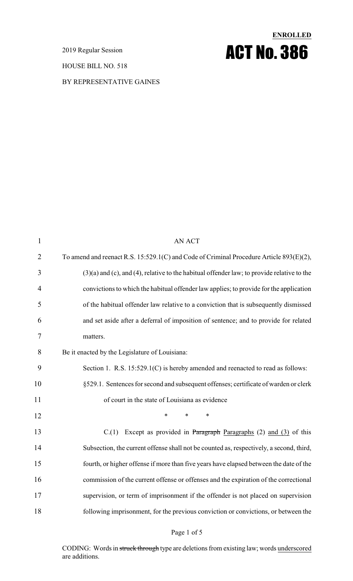2019 Regular Session

HOUSE BILL NO. 518

#### BY REPRESENTATIVE GAINES

# **ENROLLED** ACT No. 386

| $\mathbf{1}$   | <b>AN ACT</b>                                                                                      |
|----------------|----------------------------------------------------------------------------------------------------|
| $\overline{2}$ | To amend and reenact R.S. 15:529.1(C) and Code of Criminal Procedure Article 893(E)(2),            |
| 3              | $(3)(a)$ and $(c)$ , and $(4)$ , relative to the habitual offender law; to provide relative to the |
| 4              | convictions to which the habitual offender law applies; to provide for the application             |
| 5              | of the habitual offender law relative to a conviction that is subsequently dismissed               |
| 6              | and set aside after a deferral of imposition of sentence; and to provide for related               |
| $\overline{7}$ | matters.                                                                                           |
| 8              | Be it enacted by the Legislature of Louisiana:                                                     |
| 9              | Section 1. R.S. 15:529.1(C) is hereby amended and reenacted to read as follows:                    |
| 10             | §529.1. Sentences for second and subsequent offenses; certificate of warden or clerk               |
| 11             | of court in the state of Louisiana as evidence                                                     |
| 12             | $\ast$<br>$\ast$<br>$\ast$                                                                         |
| 13             | Except as provided in Paragraph Paragraphs (2) and (3) of this<br>C(1)                             |
| 14             | Subsection, the current offense shall not be counted as, respectively, a second, third,            |
| 15             | fourth, or higher offense if more than five years have elapsed between the date of the             |
| 16             | commission of the current offense or offenses and the expiration of the correctional               |
| 17             | supervision, or term of imprisonment if the offender is not placed on supervision                  |
| 18             | following imprisonment, for the previous conviction or convictions, or between the                 |

#### Page 1 of 5

CODING: Words in struck through type are deletions from existing law; words underscored are additions.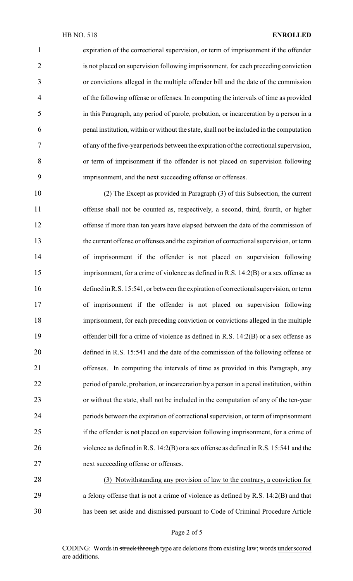expiration of the correctional supervision, or term of imprisonment if the offender is not placed on supervision following imprisonment, for each preceding conviction or convictions alleged in the multiple offender bill and the date of the commission of the following offense or offenses. In computing the intervals of time as provided in this Paragraph, any period of parole, probation, or incarceration by a person in a penal institution, within or without the state, shall not be included in the computation of any of the five-year periods between the expiration of the correctional supervision, or term of imprisonment if the offender is not placed on supervision following imprisonment, and the next succeeding offense or offenses.

 (2) The Except as provided in Paragraph (3) of this Subsection, the current offense shall not be counted as, respectively, a second, third, fourth, or higher offense if more than ten years have elapsed between the date of the commission of the current offense or offenses and the expiration of correctional supervision, or term of imprisonment if the offender is not placed on supervision following imprisonment, for a crime of violence as defined in R.S. 14:2(B) or a sex offense as defined in R.S. 15:541, or between the expiration of correctional supervision, or term of imprisonment if the offender is not placed on supervision following imprisonment, for each preceding conviction or convictions alleged in the multiple 19 offender bill for a crime of violence as defined in R.S. 14:2(B) or a sex offense as defined in R.S. 15:541 and the date of the commission of the following offense or offenses. In computing the intervals of time as provided in this Paragraph, any period of parole, probation, or incarceration by a person in a penal institution, within or without the state, shall not be included in the computation of any of the ten-year periods between the expiration of correctional supervision, or term of imprisonment if the offender is not placed on supervision following imprisonment, for a crime of violence as defined in R.S. 14:2(B) or a sex offense as defined in R.S. 15:541 and the next succeeding offense or offenses.

 (3) Notwithstanding any provision of law to the contrary, a conviction for a felony offense that is not a crime of violence as defined by R.S. 14:2(B) and that has been set aside and dismissed pursuant to Code of Criminal Procedure Article

Page 2 of 5

CODING: Words in struck through type are deletions from existing law; words underscored are additions.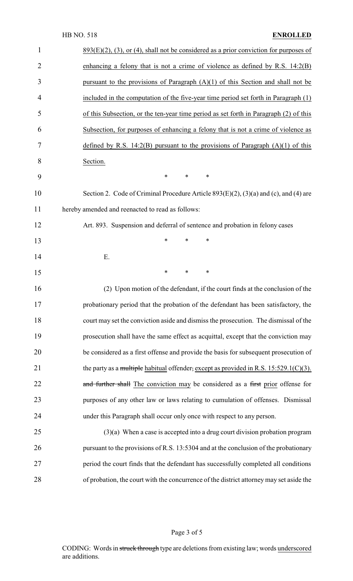### HB NO. 518 **ENROLLED**

| 1              | $893(E)(2)$ , (3), or (4), shall not be considered as a prior conviction for purposes of |
|----------------|------------------------------------------------------------------------------------------|
| $\overline{2}$ | enhancing a felony that is not a crime of violence as defined by R.S. $14:2(B)$          |
| 3              | pursuant to the provisions of Paragraph $(A)(1)$ of this Section and shall not be        |
| 4              | included in the computation of the five-year time period set forth in Paragraph (1)      |
| 5              | of this Subsection, or the ten-year time period as set forth in Paragraph (2) of this    |
| 6              | Subsection, for purposes of enhancing a felony that is not a crime of violence as        |
| 7              | defined by R.S. 14:2(B) pursuant to the provisions of Paragraph $(A)(1)$ of this         |
| 8              | Section.                                                                                 |
| 9              | *<br>$\ast$<br>∗                                                                         |
| 10             | Section 2. Code of Criminal Procedure Article 893(E)(2), (3)(a) and (c), and (4) are     |
| 11             | hereby amended and reenacted to read as follows:                                         |
| 12             | Art. 893. Suspension and deferral of sentence and probation in felony cases              |
| 13             | $\ast$<br>*<br>∗                                                                         |
| 14             | Ε.                                                                                       |
| 15             | $\ast$<br>$\ast$<br>$\ast$                                                               |
| 16             | (2) Upon motion of the defendant, if the court finds at the conclusion of the            |
| 17             | probationary period that the probation of the defendant has been satisfactory, the       |
| 18             | court may set the conviction aside and dismiss the prosecution. The dismissal of the     |
| 19             | prosecution shall have the same effect as acquittal, except that the conviction may      |
| 20             | be considered as a first offense and provide the basis for subsequent prosecution of     |
| 21             | the party as a multiple habitual offender, except as provided in R.S. $15:529.1(C)(3)$ . |
| 22             | and further shall The conviction may be considered as a first prior offense for          |
| 23             | purposes of any other law or laws relating to cumulation of offenses. Dismissal          |
| 24             | under this Paragraph shall occur only once with respect to any person.                   |
| 25             | $(3)(a)$ When a case is accepted into a drug court division probation program            |
| 26             | pursuant to the provisions of R.S. 13:5304 and at the conclusion of the probationary     |
| 27             | period the court finds that the defendant has successfully completed all conditions      |
| 28             | of probation, the court with the concurrence of the district attorney may set aside the  |
|                |                                                                                          |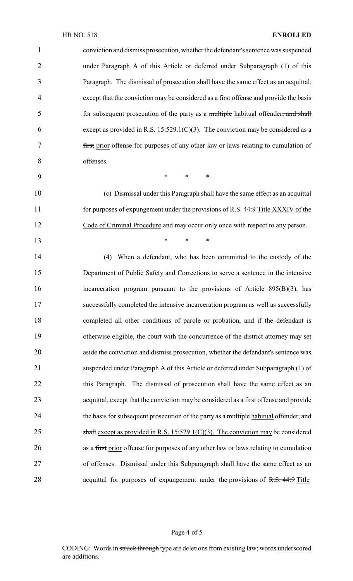conviction and dismiss prosecution, whether the defendant's sentence was suspended under Paragraph A of this Article or deferred under Subparagraph (1) of this Paragraph. The dismissal of prosecution shall have the same effect as an acquittal, except that the conviction may be considered as a first offense and provide the basis 5 for subsequent prosecution of the party as a multiple habitual offender, and shall 6 except as provided in R.S.  $15:529.1(C)(3)$ . The conviction may be considered as a first prior offense for purposes of any other law or laws relating to cumulation of offenses. \* \* \* (c) Dismissal under this Paragraph shall have the same effect as an acquittal

11 for purposes of expungement under the provisions of R.S. 44:9 Title XXXIV of the Code of Criminal Procedure and may occur only once with respect to any person.

**\*** \* \* \*

 (4) When a defendant, who has been committed to the custody of the Department of Public Safety and Corrections to serve a sentence in the intensive incarceration program pursuant to the provisions of Article 895(B)(3), has successfully completed the intensive incarceration program as well as successfully completed all other conditions of parole or probation, and if the defendant is otherwise eligible, the court with the concurrence of the district attorney may set aside the conviction and dismiss prosecution, whether the defendant's sentence was suspended under Paragraph A of this Article or deferred under Subparagraph (1) of 22 this Paragraph. The dismissal of prosecution shall have the same effect as an acquittal, except that the conviction may be considered as a first offense and provide 24 the basis for subsequent prosecution of the party as a multiple habitual offender, and 25 shall except as provided in R.S.  $15:529.1(C)(3)$ . The conviction may be considered as a first prior offense for purposes of any other law or laws relating to cumulation of offenses. Dismissal under this Subparagraph shall have the same effect as an 28 acquittal for purposes of expungement under the provisions of R.S. 44:9 Title

Page 4 of 5

CODING: Words in struck through type are deletions from existing law; words underscored are additions.